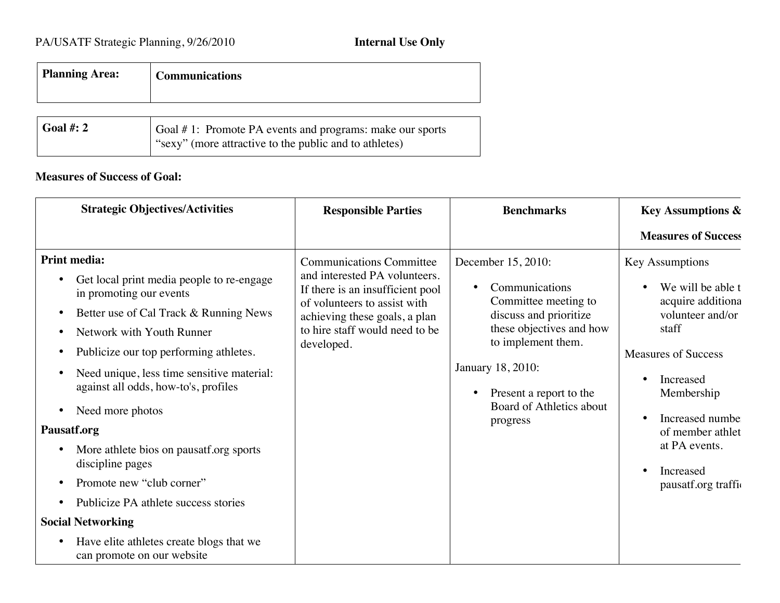| <b>Planning Area:</b> | <b>Communications</b>                                                                                                  |
|-----------------------|------------------------------------------------------------------------------------------------------------------------|
|                       |                                                                                                                        |
| Goal #: $2$           | Goal $# 1$ : Promote PA events and programs: make our sports<br>"sexy" (more attractive to the public and to athletes) |

## **Measures of Success of Goal:**

| <b>Strategic Objectives/Activities</b>                                                                                                                                                                                                                                                                                                                                                                                                                                                                                                                                                                                                                                     | <b>Responsible Parties</b>                                                                                                                                                                                            | <b>Benchmarks</b>                                                                                                                                                                                                                | <b>Key Assumptions &amp;</b>                                                                                                                                                                                                                       |
|----------------------------------------------------------------------------------------------------------------------------------------------------------------------------------------------------------------------------------------------------------------------------------------------------------------------------------------------------------------------------------------------------------------------------------------------------------------------------------------------------------------------------------------------------------------------------------------------------------------------------------------------------------------------------|-----------------------------------------------------------------------------------------------------------------------------------------------------------------------------------------------------------------------|----------------------------------------------------------------------------------------------------------------------------------------------------------------------------------------------------------------------------------|----------------------------------------------------------------------------------------------------------------------------------------------------------------------------------------------------------------------------------------------------|
|                                                                                                                                                                                                                                                                                                                                                                                                                                                                                                                                                                                                                                                                            |                                                                                                                                                                                                                       |                                                                                                                                                                                                                                  | <b>Measures of Success</b>                                                                                                                                                                                                                         |
| <b>Print media:</b><br>Get local print media people to re-engage<br>in promoting our events<br>Better use of Cal Track & Running News<br>$\bullet$<br>Network with Youth Runner<br>$\bullet$<br>Publicize our top performing athletes.<br>$\bullet$<br>Need unique, less time sensitive material:<br>against all odds, how-to's, profiles<br>Need more photos<br>$\bullet$<br>Pausatf.org<br>More athlete bios on pausatf.org sports<br>discipline pages<br>Promote new "club corner"<br>$\bullet$<br>Publicize PA athlete success stories<br>$\bullet$<br><b>Social Networking</b><br>Have elite athletes create blogs that we<br>$\bullet$<br>can promote on our website | <b>Communications Committee</b><br>and interested PA volunteers.<br>If there is an insufficient pool<br>of volunteers to assist with<br>achieving these goals, a plan<br>to hire staff would need to be<br>developed. | December 15, 2010:<br>Communications<br>Committee meeting to<br>discuss and prioritize<br>these objectives and how<br>to implement them.<br>January 18, 2010:<br>Present a report to the<br>Board of Athletics about<br>progress | <b>Key Assumptions</b><br>We will be able t<br>acquire additiona<br>volunteer and/or<br>staff<br><b>Measures of Success</b><br>Increased<br>Membership<br>Increased numbe<br>of member athlet<br>at PA events.<br>Increased<br>pausatf.org traffic |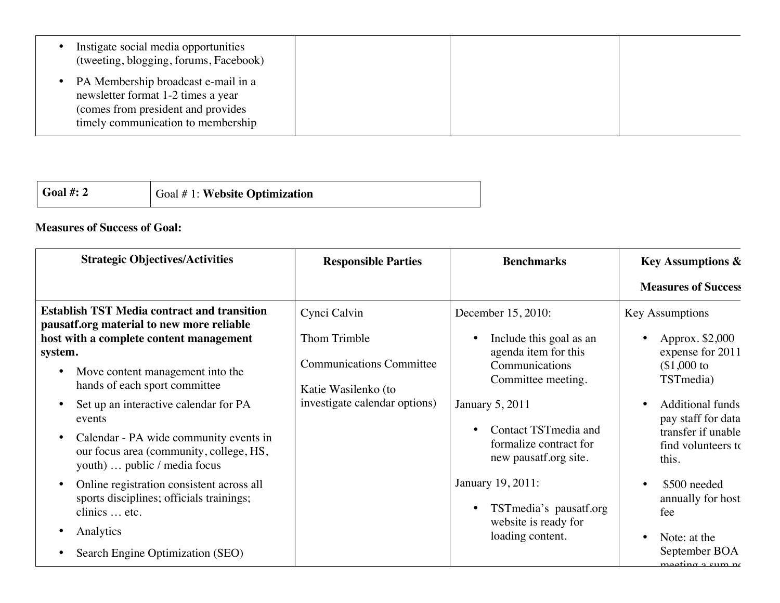| Instigate social media opportunities<br>(tweeting, blogging, forums, Facebook)                                                                         |  |  |
|--------------------------------------------------------------------------------------------------------------------------------------------------------|--|--|
| PA Membership broadcast e-mail in a<br>newsletter format 1-2 times a year<br>(comes from president and provides)<br>timely communication to membership |  |  |

| Goal #: $2$ | $\vert$ Goal # 1: Website Optimization |
|-------------|----------------------------------------|
|-------------|----------------------------------------|

## **Measures of Success of Goal:**

| <b>Strategic Objectives/Activities</b>                                                                                                                                                                                                                                                                                                                                                                                                                                                                                                                                                                                         | <b>Responsible Parties</b>                                                                                              | <b>Benchmarks</b>                                                                                                                                                                                                                                                                                                                  | <b>Key Assumptions &amp;</b>                                                                                                                                                                                                                                                                     |
|--------------------------------------------------------------------------------------------------------------------------------------------------------------------------------------------------------------------------------------------------------------------------------------------------------------------------------------------------------------------------------------------------------------------------------------------------------------------------------------------------------------------------------------------------------------------------------------------------------------------------------|-------------------------------------------------------------------------------------------------------------------------|------------------------------------------------------------------------------------------------------------------------------------------------------------------------------------------------------------------------------------------------------------------------------------------------------------------------------------|--------------------------------------------------------------------------------------------------------------------------------------------------------------------------------------------------------------------------------------------------------------------------------------------------|
|                                                                                                                                                                                                                                                                                                                                                                                                                                                                                                                                                                                                                                |                                                                                                                         |                                                                                                                                                                                                                                                                                                                                    | <b>Measures of Success</b>                                                                                                                                                                                                                                                                       |
| <b>Establish TST Media contract and transition</b><br>pausatf.org material to new more reliable<br>host with a complete content management<br>system.<br>Move content management into the<br>$\bullet$<br>hands of each sport committee<br>Set up an interactive calendar for PA<br>$\bullet$<br>events<br>Calendar - PA wide community events in<br>$\bullet$<br>our focus area (community, college, HS,<br>youth)  public / media focus<br>Online registration consistent across all<br>$\bullet$<br>sports disciplines; officials trainings;<br>clinics  etc.<br>Analytics<br>$\bullet$<br>Search Engine Optimization (SEO) | Cynci Calvin<br>Thom Trimble<br><b>Communications Committee</b><br>Katie Wasilenko (to<br>investigate calendar options) | December 15, 2010:<br>Include this goal as an<br>agenda item for this<br>Communications<br>Committee meeting.<br>January 5, 2011<br>Contact TST media and<br>$\bullet$<br>formalize contract for<br>new pausatf.org site.<br>January 19, 2011:<br>TST media's pausatf.org<br>$\bullet$<br>website is ready for<br>loading content. | <b>Key Assumptions</b><br>Approx. \$2,000<br>expense for 2011<br>$$1,000$ to<br>TSTmedia)<br><b>Additional funds</b><br>pay staff for data<br>transfer if unable<br>find volunteers to<br>this.<br>\$500 needed<br>annually for host<br>fee<br>Note: at the<br>September BOA<br>meeting a cum no |